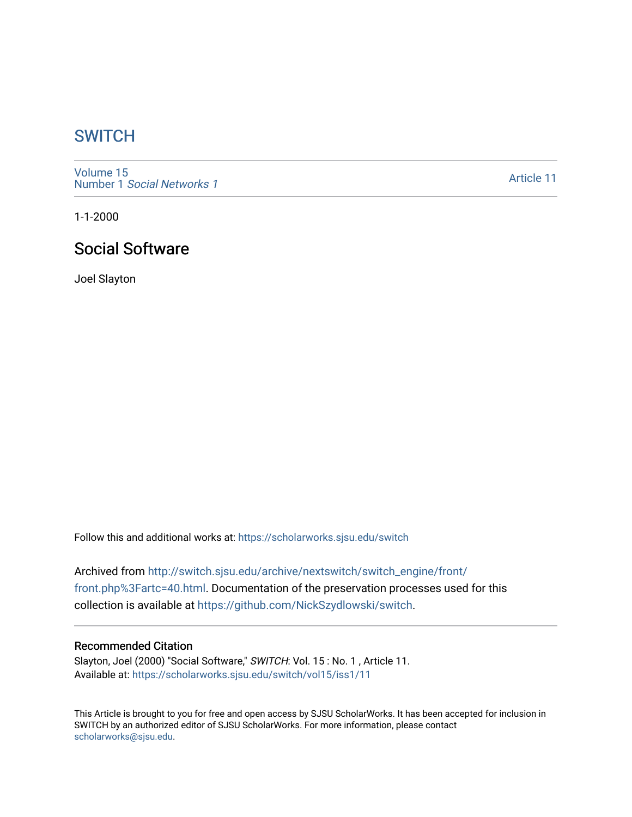## **SWITCH**

[Volume 15](https://scholarworks.sjsu.edu/switch/vol15) Number 1 [Social Networks 1](https://scholarworks.sjsu.edu/switch/vol15/iss1)

[Article 11](https://scholarworks.sjsu.edu/switch/vol15/iss1/11) 

1-1-2000

# Social Software

Joel Slayton

Follow this and additional works at: [https://scholarworks.sjsu.edu/switch](https://scholarworks.sjsu.edu/switch?utm_source=scholarworks.sjsu.edu%2Fswitch%2Fvol15%2Fiss1%2F11&utm_medium=PDF&utm_campaign=PDFCoverPages)

Archived from [http://switch.sjsu.edu/archive/nextswitch/switch\\_engine/front/](http://switch.sjsu.edu/archive/nextswitch/switch_engine/front/front.php%3Fartc=40.html) [front.php%3Fartc=40.html](http://switch.sjsu.edu/archive/nextswitch/switch_engine/front/front.php%3Fartc=40.html). Documentation of the preservation processes used for this collection is available at [https://github.com/NickSzydlowski/switch.](https://github.com/NickSzydlowski/switch)

### Recommended Citation

Slayton, Joel (2000) "Social Software," SWITCH: Vol. 15 : No. 1 , Article 11. Available at: [https://scholarworks.sjsu.edu/switch/vol15/iss1/11](https://scholarworks.sjsu.edu/switch/vol15/iss1/11?utm_source=scholarworks.sjsu.edu%2Fswitch%2Fvol15%2Fiss1%2F11&utm_medium=PDF&utm_campaign=PDFCoverPages) 

This Article is brought to you for free and open access by SJSU ScholarWorks. It has been accepted for inclusion in SWITCH by an authorized editor of SJSU ScholarWorks. For more information, please contact [scholarworks@sjsu.edu](mailto:scholarworks@sjsu.edu).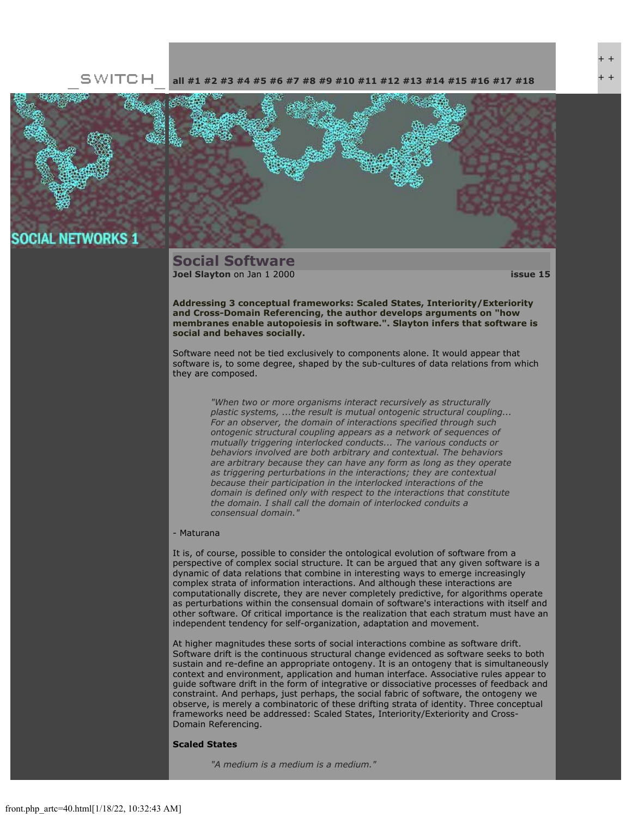#### SWITCH **[all](file:///Users/nszydlowski/Desktop/websites%20copy/Switch%20Journal/switch.sjsu.edu/archive/nextswitch/switch_engine/front/front.php.html) [#1](file:///Users/nszydlowski/Desktop/websites%20copy/Switch%20Journal/switch.sjsu.edu/archive/nextswitch/switch_engine/front/front.php_cat%3d5.html) [#2](file:///Users/nszydlowski/Desktop/websites%20copy/Switch%20Journal/switch.sjsu.edu/archive/nextswitch/switch_engine/front/front.php_cat%3d6.html) [#3](file:///Users/nszydlowski/Desktop/websites%20copy/Switch%20Journal/switch.sjsu.edu/archive/nextswitch/switch_engine/front/front.php_cat%3d7.html) [#4](file:///Users/nszydlowski/Desktop/websites%20copy/Switch%20Journal/switch.sjsu.edu/archive/nextswitch/switch_engine/front/front.php_cat%3d8.html) [#5](file:///Users/nszydlowski/Desktop/websites%20copy/Switch%20Journal/switch.sjsu.edu/archive/nextswitch/switch_engine/front/front.php_cat%3d9.html) [#6](file:///Users/nszydlowski/Desktop/websites%20copy/Switch%20Journal/switch.sjsu.edu/archive/nextswitch/switch_engine/front/front.php_cat%3d10.html) [#7](file:///Users/nszydlowski/Desktop/websites%20copy/Switch%20Journal/switch.sjsu.edu/archive/nextswitch/switch_engine/front/front.php_cat%3d11.html) [#8](file:///Users/nszydlowski/Desktop/websites%20copy/Switch%20Journal/switch.sjsu.edu/archive/nextswitch/switch_engine/front/front.php_cat%3d12.html) [#9](file:///Users/nszydlowski/Desktop/websites%20copy/Switch%20Journal/switch.sjsu.edu/archive/nextswitch/switch_engine/front/front.php_cat%3d13.html) [#10](file:///Users/nszydlowski/Desktop/websites%20copy/Switch%20Journal/switch.sjsu.edu/archive/nextswitch/switch_engine/front/front.php_cat%3d14.html) [#11](file:///Users/nszydlowski/Desktop/websites%20copy/Switch%20Journal/switch.sjsu.edu/archive/nextswitch/switch_engine/front/front.php_cat%3d15.html) [#12](file:///Users/nszydlowski/Desktop/websites%20copy/Switch%20Journal/switch.sjsu.edu/archive/nextswitch/switch_engine/front/front.php_cat%3d16.html) [#13](file:///Users/nszydlowski/Desktop/websites%20copy/Switch%20Journal/switch.sjsu.edu/archive/nextswitch/switch_engine/front/front.php_cat%3d17.html) [#14](file:///Users/nszydlowski/Desktop/websites%20copy/Switch%20Journal/switch.sjsu.edu/archive/nextswitch/switch_engine/front/front.php_cat%3d18.html) [#15](file:///Users/nszydlowski/Desktop/websites%20copy/Switch%20Journal/switch.sjsu.edu/archive/nextswitch/switch_engine/front/front.php_cat%3d19.html) [#16](file:///Users/nszydlowski/Desktop/websites%20copy/Switch%20Journal/switch.sjsu.edu/archive/nextswitch/switch_engine/front/front.php_cat%3d20.html) [#17](file:///Users/nszydlowski/Desktop/websites%20copy/Switch%20Journal/switch.sjsu.edu/archive/nextswitch/switch_engine/front/front.php_cat%3d21.html) [#18](file:///Users/nszydlowski/Desktop/websites%20copy/Switch%20Journal/switch.sjsu.edu/archive/nextswitch/switch_engine/front/front.php_cat%3d44.html)**



## **SOCIAL NETWORKS 1**

### **Social Software [Joel Slayton](file:///Users/nszydlowski/Desktop/websites%20copy/Switch%20Journal/switch.sjsu.edu/archive/nextswitch/switch_engine/front/users.php_w%3d35.html)** on Jan 1 2000 **[issue 15](file:///Users/nszydlowski/Desktop/websites%20copy/Switch%20Journal/switch.sjsu.edu/archive/nextswitch/switch_engine/front/front.php_cat%3d19.html)**

**Addressing 3 conceptual frameworks: Scaled States, Interiority/Exteriority and Cross-Domain Referencing, the author develops arguments on "how membranes enable autopoiesis in software.". Slayton infers that software is social and behaves socially.** 

Software need not be tied exclusively to components alone. It would appear that software is, to some degree, shaped by the sub-cultures of data relations from which they are composed.

*"When two or more organisms interact recursively as structurally plastic systems, ...the result is mutual ontogenic structural coupling... For an observer, the domain of interactions specified through such ontogenic structural coupling appears as a network of sequences of mutually triggering interlocked conducts... The various conducts or behaviors involved are both arbitrary and contextual. The behaviors are arbitrary because they can have any form as long as they operate as triggering perturbations in the interactions; they are contextual because their participation in the interlocked interactions of the domain is defined only with respect to the interactions that constitute the domain. I shall call the domain of interlocked conduits a consensual domain."*

#### - Maturana

It is, of course, possible to consider the ontological evolution of software from a perspective of complex social structure. It can be argued that any given software is a dynamic of data relations that combine in interesting ways to emerge increasingly complex strata of information interactions. And although these interactions are computationally discrete, they are never completely predictive, for algorithms operate as perturbations within the consensual domain of software's interactions with itself and other software. Of critical importance is the realization that each stratum must have an independent tendency for self-organization, adaptation and movement.

At higher magnitudes these sorts of social interactions combine as software drift. Software drift is the continuous structural change evidenced as software seeks to both sustain and re-define an appropriate ontogeny. It is an ontogeny that is simultaneously context and environment, application and human interface. Associative rules appear to guide software drift in the form of integrative or dissociative processes of feedback and constraint. And perhaps, just perhaps, the social fabric of software, the ontogeny we observe, is merely a combinatoric of these drifting strata of identity. Three conceptual frameworks need be addressed: Scaled States, Interiority/Exteriority and Cross-Domain Referencing.

#### **Scaled States**

*"A medium is a medium is a medium."*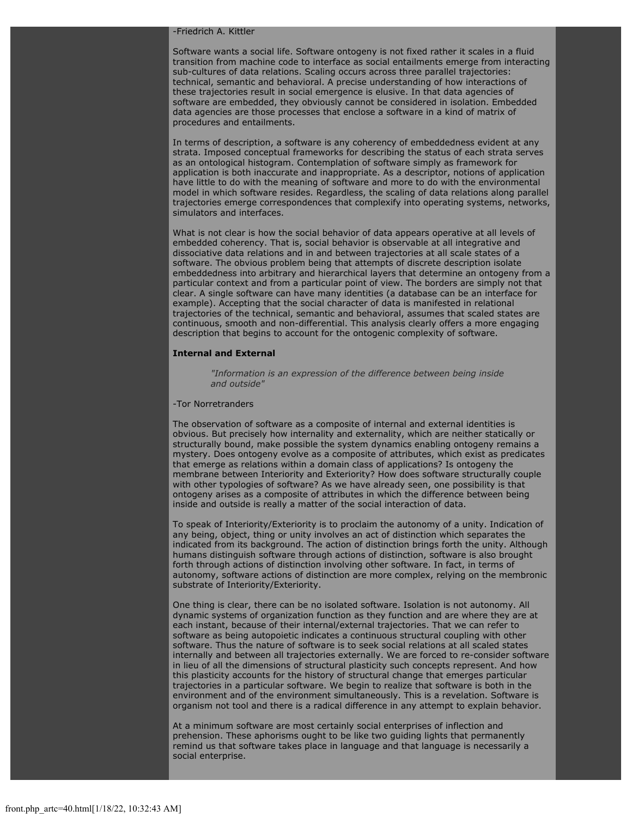#### -Friedrich A. Kittler

Software wants a social life. Software ontogeny is not fixed rather it scales in a fluid transition from machine code to interface as social entailments emerge from interacting sub-cultures of data relations. Scaling occurs across three parallel trajectories: technical, semantic and behavioral. A precise understanding of how interactions of these trajectories result in social emergence is elusive. In that data agencies of software are embedded, they obviously cannot be considered in isolation. Embedded data agencies are those processes that enclose a software in a kind of matrix of procedures and entailments.

In terms of description, a software is any coherency of embeddedness evident at any strata. Imposed conceptual frameworks for describing the status of each strata serves as an ontological histogram. Contemplation of software simply as framework for application is both inaccurate and inappropriate. As a descriptor, notions of application have little to do with the meaning of software and more to do with the environmental model in which software resides. Regardless, the scaling of data relations along parallel trajectories emerge correspondences that complexify into operating systems, networks, simulators and interfaces.

What is not clear is how the social behavior of data appears operative at all levels of embedded coherency. That is, social behavior is observable at all integrative and dissociative data relations and in and between trajectories at all scale states of a software. The obvious problem being that attempts of discrete description isolate embeddedness into arbitrary and hierarchical layers that determine an ontogeny from a particular context and from a particular point of view. The borders are simply not that clear. A single software can have many identities (a database can be an interface for example). Accepting that the social character of data is manifested in relational trajectories of the technical, semantic and behavioral, assumes that scaled states are continuous, smooth and non-differential. This analysis clearly offers a more engaging description that begins to account for the ontogenic complexity of software.

#### **Internal and External**

*"Information is an expression of the difference between being inside and outside"*

### -Tor Norretranders

The observation of software as a composite of internal and external identities is obvious. But precisely how internality and externality, which are neither statically or structurally bound, make possible the system dynamics enabling ontogeny remains a mystery. Does ontogeny evolve as a composite of attributes, which exist as predicates that emerge as relations within a domain class of applications? Is ontogeny the membrane between Interiority and Exteriority? How does software structurally couple with other typologies of software? As we have already seen, one possibility is that ontogeny arises as a composite of attributes in which the difference between being inside and outside is really a matter of the social interaction of data.

To speak of Interiority/Exteriority is to proclaim the autonomy of a unity. Indication of any being, object, thing or unity involves an act of distinction which separates the indicated from its background. The action of distinction brings forth the unity. Although humans distinguish software through actions of distinction, software is also brought forth through actions of distinction involving other software. In fact, in terms of autonomy, software actions of distinction are more complex, relying on the membronic substrate of Interiority/Exteriority.

One thing is clear, there can be no isolated software. Isolation is not autonomy. All dynamic systems of organization function as they function and are where they are at each instant, because of their internal/external trajectories. That we can refer to software as being autopoietic indicates a continuous structural coupling with other software. Thus the nature of software is to seek social relations at all scaled states internally and between all trajectories externally. We are forced to re-consider software in lieu of all the dimensions of structural plasticity such concepts represent. And how this plasticity accounts for the history of structural change that emerges particular trajectories in a particular software. We begin to realize that software is both in the environment and of the environment simultaneously. This is a revelation. Software is organism not tool and there is a radical difference in any attempt to explain behavior.

At a minimum software are most certainly social enterprises of inflection and prehension. These aphorisms ought to be like two guiding lights that permanently remind us that software takes place in language and that language is necessarily a social enterprise.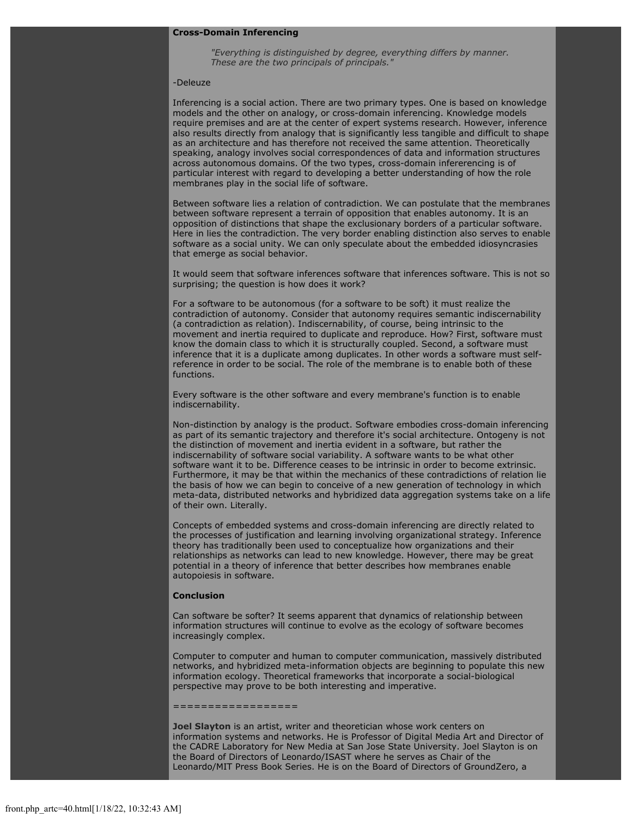### **Cross-Domain Inferencing**

*"Everything is distinguished by degree, everything differs by manner. These are the two principals of principals."*

#### -Deleuze

Inferencing is a social action. There are two primary types. One is based on knowledge models and the other on analogy, or cross-domain inferencing. Knowledge models require premises and are at the center of expert systems research. However, inference also results directly from analogy that is significantly less tangible and difficult to shape as an architecture and has therefore not received the same attention. Theoretically speaking, analogy involves social correspondences of data and information structures across autonomous domains. Of the two types, cross-domain infererencing is of particular interest with regard to developing a better understanding of how the role membranes play in the social life of software.

Between software lies a relation of contradiction. We can postulate that the membranes between software represent a terrain of opposition that enables autonomy. It is an opposition of distinctions that shape the exclusionary borders of a particular software. Here in lies the contradiction. The very border enabling distinction also serves to enable software as a social unity. We can only speculate about the embedded idiosyncrasies that emerge as social behavior.

It would seem that software inferences software that inferences software. This is not so surprising; the question is how does it work?

For a software to be autonomous (for a software to be soft) it must realize the contradiction of autonomy. Consider that autonomy requires semantic indiscernability (a contradiction as relation). Indiscernability, of course, being intrinsic to the movement and inertia required to duplicate and reproduce. How? First, software must know the domain class to which it is structurally coupled. Second, a software must inference that it is a duplicate among duplicates. In other words a software must selfreference in order to be social. The role of the membrane is to enable both of these functions.

Every software is the other software and every membrane's function is to enable indiscernability.

Non-distinction by analogy is the product. Software embodies cross-domain inferencing as part of its semantic trajectory and therefore it's social architecture. Ontogeny is not the distinction of movement and inertia evident in a software, but rather the indiscernability of software social variability. A software wants to be what other software want it to be. Difference ceases to be intrinsic in order to become extrinsic. Furthermore, it may be that within the mechanics of these contradictions of relation lie the basis of how we can begin to conceive of a new generation of technology in which meta-data, distributed networks and hybridized data aggregation systems take on a life of their own. Literally.

Concepts of embedded systems and cross-domain inferencing are directly related to the processes of justification and learning involving organizational strategy. Inference theory has traditionally been used to conceptualize how organizations and their relationships as networks can lead to new knowledge. However, there may be great potential in a theory of inference that better describes how membranes enable autopoiesis in software.

#### **Conclusion**

Can software be softer? It seems apparent that dynamics of relationship between information structures will continue to evolve as the ecology of software becomes increasingly complex.

Computer to computer and human to computer communication, massively distributed networks, and hybridized meta-information objects are beginning to populate this new information ecology. Theoretical frameworks that incorporate a social-biological perspective may prove to be both interesting and imperative.

==================

**[Joel Slayton](mailto:joel@well.com)** is an artist, writer and theoretician whose work centers on information systems and networks. He is Professor of Digital Media Art and Director of the CADRE Laboratory for New Media at San Jose State University. Joel Slayton is on the Board of Directors of Leonardo/ISAST where he serves as Chair of the Leonardo/MIT Press Book Series. He is on the Board of Directors of GroundZero, a